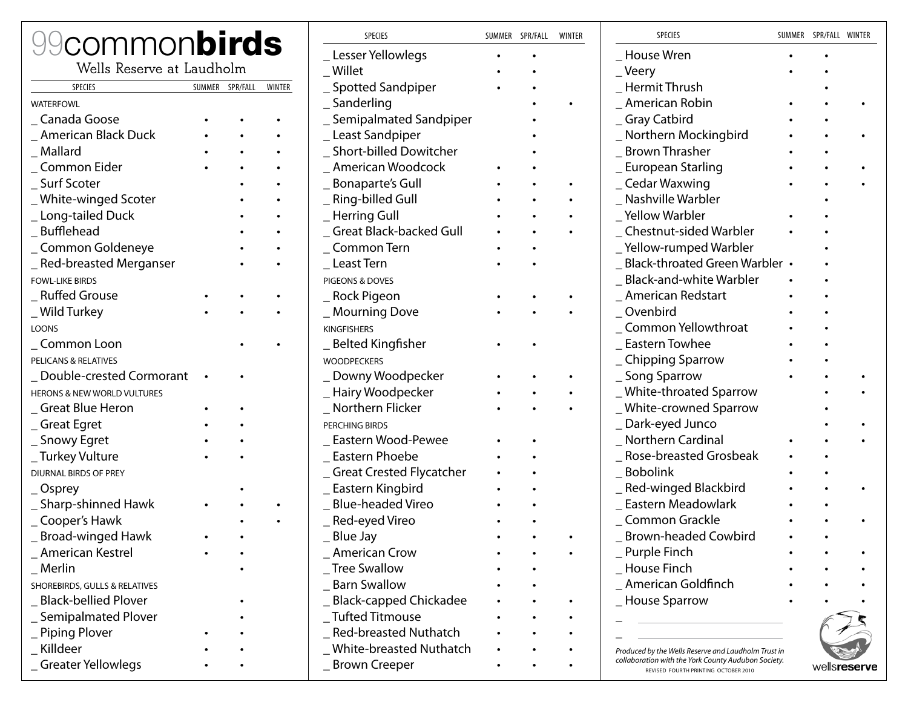| <b><i><u>9commonbirds</u></i></b> |                 |        | <b>SPECIES</b>                 | SUMMER SPR/FALL | WINTER | SPECIES                                                                                     | SUMMER SPR/FALL WINTER |  |
|-----------------------------------|-----------------|--------|--------------------------------|-----------------|--------|---------------------------------------------------------------------------------------------|------------------------|--|
|                                   |                 |        | Lesser Yellowlegs              |                 |        | House Wren                                                                                  |                        |  |
| Wells Reserve at Laudholm         |                 |        | Willet                         |                 |        | _Veery                                                                                      |                        |  |
| <b>SPECIES</b>                    | SUMMER SPR/FALL | WINTER | _ Spotted Sandpiper            |                 |        | Hermit Thrush                                                                               |                        |  |
| <b>WATERFOWL</b>                  |                 |        | _Sanderling                    |                 |        | American Robin                                                                              |                        |  |
| _ Canada Goose                    |                 |        | _ Semipalmated Sandpiper       |                 |        | _ Gray Catbird                                                                              |                        |  |
| _ American Black Duck             |                 |        | Least Sandpiper                |                 |        | Northern Mockingbird                                                                        |                        |  |
| _ Mallard                         |                 |        | _ Short-billed Dowitcher       |                 |        | <b>Brown Thrasher</b>                                                                       |                        |  |
| _ Common Eider                    |                 |        | American Woodcock              |                 |        | _ European Starling                                                                         |                        |  |
| _ Surf Scoter                     |                 |        | <b>Bonaparte's Gull</b>        |                 |        | _ Cedar Waxwing                                                                             |                        |  |
| _White-winged Scoter              |                 |        | _ Ring-billed Gull             |                 |        | Nashville Warbler                                                                           |                        |  |
| _Long-tailed Duck                 |                 |        | _Herring Gull                  |                 |        | _Yellow Warbler                                                                             |                        |  |
| _Bufflehead                       |                 |        | <b>Great Black-backed Gull</b> |                 |        | Chestnut-sided Warbler                                                                      |                        |  |
| _Common Goldeneye                 |                 |        | _ Common Tern                  |                 |        | _Yellow-rumped Warbler                                                                      |                        |  |
| _ Red-breasted Merganser          |                 |        | _ Least Tern                   |                 |        | _ Black-throated Green Warbler •                                                            |                        |  |
| <b>FOWL-LIKE BIRDS</b>            |                 |        | PIGEONS & DOVES                |                 |        | _Black-and-white Warbler                                                                    |                        |  |
| _Ruffed Grouse                    |                 |        | _ Rock Pigeon                  |                 |        | American Redstart                                                                           |                        |  |
| _ Wild Turkey                     |                 |        | _Mourning Dove                 |                 |        | _Ovenbird                                                                                   |                        |  |
| <b>LOONS</b>                      |                 |        | <b>KINGFISHERS</b>             |                 |        | Common Yellowthroat                                                                         |                        |  |
| _Common Loon                      |                 |        | _ Belted Kingfisher            |                 |        | Eastern Towhee                                                                              |                        |  |
| PELICANS & RELATIVES              |                 |        | <b>WOODPECKERS</b>             |                 |        | _ Chipping Sparrow                                                                          |                        |  |
| Double-crested Cormorant          |                 |        | Downy Woodpecker               |                 |        | _ Song Sparrow                                                                              |                        |  |
| HERONS & NEW WORLD VULTURES       |                 |        | _Hairy Woodpecker              |                 |        | _White-throated Sparrow                                                                     |                        |  |
| Great Blue Heron                  |                 |        | _ Northern Flicker             |                 |        | _White-crowned Sparrow                                                                      |                        |  |
| Great Egret                       |                 |        | PERCHING BIRDS                 |                 |        | _Dark-eyed Junco                                                                            |                        |  |
| _ Snowy Egret                     |                 |        | Eastern Wood-Pewee             |                 |        | Northern Cardinal                                                                           |                        |  |
| _ Turkey Vulture                  |                 |        | Eastern Phoebe                 |                 |        | _ Rose-breasted Grosbeak                                                                    |                        |  |
| <b>DIURNAL BIRDS OF PREY</b>      |                 |        | _ Great Crested Flycatcher     |                 |        | Bobolink                                                                                    |                        |  |
| _Osprey                           |                 |        | _ Eastern Kingbird             |                 |        | _Red-winged Blackbird                                                                       |                        |  |
| _ Sharp-shinned Hawk              |                 |        | <b>Blue-headed Vireo</b>       |                 |        | Eastern Meadowlark                                                                          |                        |  |
| _ Cooper's Hawk                   |                 |        | _Red-eyed Vireo                |                 |        | _ Common Grackle                                                                            |                        |  |
| _ Broad-winged Hawk               |                 |        | _ Blue Jay                     |                 |        | _ Brown-headed Cowbird                                                                      |                        |  |
| _ American Kestrel                |                 |        | _ American Crow                |                 |        | _ Purple Finch                                                                              |                        |  |
| $\_$ Merlin                       |                 |        | <b>Tree Swallow</b>            |                 |        | _ House Finch                                                                               |                        |  |
| SHOREBIRDS, GULLS & RELATIVES     |                 |        | _ Barn Swallow                 |                 |        | _ American Goldfinch                                                                        |                        |  |
| _ Black-bellied Plover            |                 |        | _Black-capped Chickadee        |                 |        | _ House Sparrow                                                                             |                        |  |
| _ Semipalmated Plover             |                 |        | Tufted Titmouse                |                 |        |                                                                                             |                        |  |
| _ Piping Plover                   |                 |        | _Red-breasted Nuthatch         |                 |        |                                                                                             |                        |  |
| _ Killdeer                        |                 |        | _ White-breasted Nuthatch      |                 |        | Produced by the Wells Reserve and Laudholm Trust in                                         |                        |  |
| _Greater Yellowlegs               |                 |        | _ Brown Creeper                |                 |        | collaboration with the York County Audubon Society.<br>REVISED FOURTH PRINTING OCTOBER 2010 | wellsreserve           |  |